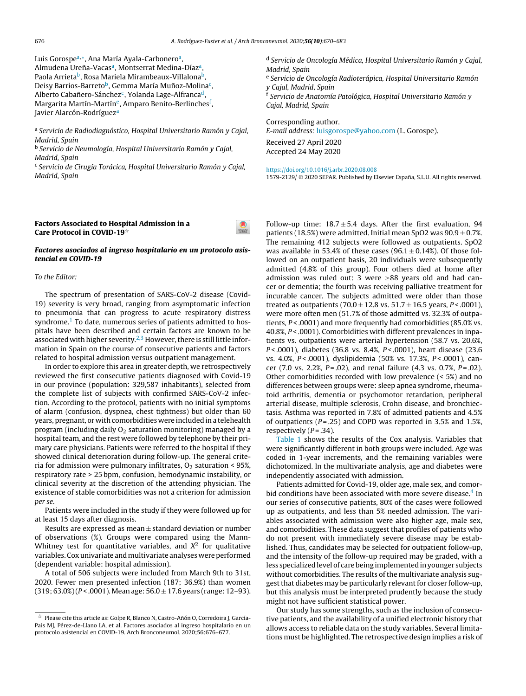Luis Gorospeª,\*, Ana María Ayala-Carboneroª, Almudena Ureña-Vacas<sup>a</sup>, Montserrat [Medina-Díaz](dx.doi.org/10.1016/j.arbres.2020.03.017)<sup>a</sup>, Paola Arrieta<sup>b</sup>, Rosa Mariela [Mirambeaux-](dx.doi.org/10.1038/d41586-020-00974-w)Villalona<sup>b</sup>, Deisy Barrios-Barreto<sup>b</sup>, Gemma María Muñoz-Molina<sup>c</sup>, Alberto Cabañero-Sánchez<sup>c</sup>, Yolanda Lage-Alfranca<sup>d</sup>, Margarita [Martín-Martín](dx.doi.org/10.1097/00005537-200310000-00022)<sup>e</sup>, Amparo Benito-Berlinches<sup>f</sup>, Javier Alarcón-Rodríguez<sup>a</sup>

<sup>a</sup> S[ervicio](http://refhub.elsevier.com/S1579-2129(20)30214-7/sbref0040) de [Radiodiagnóstic](http://refhub.elsevier.com/S1579-2129(20)30214-7/sbref0040)[o,](dx.doi.org/10.1007/s00405-017-4838-7) [Hospital](http://refhub.elsevier.com/S1579-2129(20)30214-7/sbref0040) [Universitari](http://refhub.elsevier.com/S1579-2129(20)30214-7/sbref0040)o [Ramón](http://refhub.elsevier.com/S1579-2129(20)30214-7/sbref0040) [y](http://refhub.elsevier.com/S1579-2129(20)30214-7/sbref0040) [Cajal,](http://refhub.elsevier.com/S1579-2129(20)30214-7/sbref0040) Ma[drid,](http://refhub.elsevier.com/S1579-2129(20)30214-7/sbref0040) Spa[in](http://refhub.elsevier.com/S1579-2129(20)30214-7/sbref0040)

<sup>b</sup> S[ervicio](http://refhub.elsevier.com/S1579-2129(20)30214-7/sbref0040) de N[eumología](http://refhub.elsevier.com/S1579-2129(20)30214-7/sbref0040), [Hospital](http://refhub.elsevier.com/S1579-2129(20)30214-7/sbref0040) [Universitario](http://refhub.elsevier.com/S1579-2129(20)30214-7/sbref0040) [Ramón](http://refhub.elsevier.com/S1579-2129(20)30214-7/sbref0040) y C[ajal,](http://refhub.elsevier.com/S1579-2129(20)30214-7/sbref0040) Ma[drid,](http://refhub.elsevier.com/S1579-2129(20)30214-7/sbref0040) [Spain](http://refhub.elsevier.com/S1579-2129(20)30214-7/sbref0040)

<sup>c</sup> Servicio de Cirugía Torácica, Hospital Universitario Ramón y Cajal, Madrid, Spain

<sup>d</sup> Servicio de Oncología Médica, Hospital Universitario Ramón y Cajal, Madrid, Spain e Servicio de Oncología Radioterápica, Hospital Universitario Ramón

y Cajal, [Madrid,](https://www.mscbs.gob.es/profesionales/saludPublica/ccayes/alertasActual/nCov-China/documentos/Actualizacion_89_COVID-19.pdf) Spain <sup>f</sup> Servicio de Anatomía [Patológica,](https://www.mscbs.gob.es/profesionales/saludPublica/ccayes/alertasActual/nCov-China/documentos/Actualizacion_89_COVID-19.pdf) Hospital Universitario Ramón y Cajal, Madrid, Spain

Corr[esponding](dx.doi.org/10.1016/j.bja.2020.03.026) author.

E-mail address: [luisgorospe@yahoo.com](mailto:luisgorospe@yahoo.com) (L. Gorospe). Received 27 April 2020

Accepted 24 May 2020

<https://doi.org/10.1016/j.arbr.2020.08.008> 1579-2129/ © 2020 SEPAR. Published by Elsevier España, S.L.U. All rights reserved.

## Factors Associated to Hospital Admission in a Care Protocol in COVID-19<sup> $\phi$ </sup>

### Factores asociados al ingreso [hospitalario](dx.doi.org/10.1016/j.otorri.2020.03.001) en un protocolo asistencial en COVID-19

## To the Editor:

The spectrum of presentation of SARS-CoV-2 disease (Covid-19) severity is very broad, ranging from asymptomatic infe[ction](http://crossmark.crossref.org/dialog/?doi=10.1016/j.arbr.2020.05.009&domain=pdf) to pneumonia that can progress to acute respiratory distress syndrome.<sup>[1](#page-1-0)</sup> To date, numerous series of patients admitted to hospitals have been described and certain factors are known to be associated with higher severity.<sup>[2,3](#page-1-0)</sup> However, there is still little information in Spain on the course of consecutive patients and factors related to hospital admission versus outpatient management.

In order to explore this area in greater depth, we retrospectively reviewed the first consecutive patients diagnosed with Covid-19 in our province (population: 329,587 inhabitants), selected from the complete list of subjects with confirmed SARS-CoV-2 infection. According to the protocol, patients with no initial symptoms of alarm (confusion, dyspnea, chest tightness) but older than 60 years, pregnant, or with comorbidities were included in a telehealth program (including daily  $O<sub>2</sub>$  saturation monitoring) managed by a hospital team, and the rest were followed by telephone by their primary care physicians. Patients were referred to the hospital if they showed clinical deterioration during follow-up. The general criteria for admission were pulmonary infiltrates,  $O_2$  saturation < 95%, respiratory rate > 25 bpm, confusion, hemodynamic instability, or clinical severity at the discretion of the attending physician. The existence of stable comorbidities was not a criterion for admission per se.

Patients were included in the study if they were followed up f[or](http://crossmark.crossref.org/dialog/?doi=10.1016/j.arbr.2020.05.009&domain=pdf) at least 15 days after diagnosis.

Results are expressed as mean  $\pm$  standard deviation or number of observations (%). Groups were compared using the Mann-Whitney test for quantitative variables, and  $X^2$  for qualitative variables. Cox univariate and multivariate analyses were performed (dependent variable: hospital admission).

A total of 506 subjects were included from March 9th to 31st, 2020. Fewer men presented infection (187; 36.9%) than women  $(319; 63.0%) (P < .0001)$ . Mean age:  $56.0 \pm 17.6$  years (range: 12-93).

Follow-up time:  $18.7 \pm 5.4$  days. After the first evaluation, 94 patients (18.5%) were [admitted.](dx.doi.org/10.1016/j.oraloncology.2020.104682) Initial mean SpO2 was  $90.9 \pm 0.7$ %. The remaining 412 subjects were followed as outpatients. SpO2 was [available](https://doi.org/10.1016/j.arbr.2020.05.007) in 53.4% of these cases (96.1  $\pm$  0.14%). Of those followed on an outpatient basis, 20 individuals were [subsequently](https://www.ecdc.europa.eu/sites/default/files/documents/COVID-19-guidance-wearing-and-removing-personal-protective-equipment-healthcare-settings-updated.pdf) admitted (4.8% of this [group\).](https://www.ecdc.europa.eu/sites/default/files/documents/COVID-19-guidance-wearing-and-removing-personal-protective-equipment-healthcare-settings-updated.pdf) Four others died at home after admission was ruled out: 3 were  $\geq 88$  years old and had cancer or dementia; the fourth was receiving palliative treatment for incurable cancer. The subjects [admitted](dx.doi.org/10.1016/j.arbres.2012.03.010) were older than those treated as outpatients (70.0  $\pm$  12.8 vs. 51.7  $\pm$  16.5 years, P<.0001), were more often men [\(51.7%](dx.doi.org/10.1055/s-2004-835967) of those admitted vs. 32.3% of outpatients,  $P < .0001$ ) and more frequently had comorbidities (85.0% vs. 40.8%, P < .0001). [Comorbidities](dx.doi.org/10.1542/peds.112.5.1095) with different prevalences in inpatients vs. outpatients were arterial hypertension (58.7 vs. 20.6%, P < .0001), [diabetes](dx.doi.org/10.2807/1560-7917.ES.2020.25.15.2000125) (36.8 vs. 8.4%, P < .0001), heart disease (23.6 vs. 4.0%, P < .0001), [dyslipidemia](dx.doi.org/10.1016/S1695-4033(01)77547-9) (50% vs. 17.3%, P < .0001), cancer (7.0 vs. 2.2%,  $P = .02$ ), and renal [failure](dx.doi.org/10.1016/S1470-2045(20)30240-0) (4.3 vs. 0.7%,  $P = .02$ ). Other comorbidities recorded with low [prevalence](dx.doi.org/10.1200/OP.20.00218) (< 5%) and no di[fferences](dx.doi.org/10.1097/INF.0000000000001818) between groups were: sleep apnea syndrome, rheumatoid arthritis, dementia or psychomotor retardation, peripheral arterial disease, multiple [sclerosis,](dx.doi.org/10.1371/journal.pone.0226817) Crohn disease, and bronchiectasis. Asthma was reported in 7.8% of admitted patients and 4.5% of outpatients ( $P = .25$ ) and COPD was [reported](dx.doi.org/10.2217/fon-2020-0312) in 3.5% and 1.5%, respectively  $(P = .34)$ .

[Table](#page-1-0) 1 shows the results of the Cox analysis. Variables that were [significantly](dx.doi.org/10.6004/jnccn.2020.7560) different in both groups were included. Age was coded in 1-year [increments,](https://doi.org/10.1016/j.arbr.2020.08.007) and the remaining variables were dichotomized. In the [multivariate](dx.doi.org/10.1097/COC.0000000000000712) analysis, age and diabetes were independently associated with admission.

Patients admitted for Covid-19, older age, male sex, and [comor-](dx.doi.org/10.1016/j.ejca.2020.03.028)bid conditions have been associated with more severe disease.<sup>[4](#page-1-0)</sup> In our series of [consecutive](dx.doi.org/10.1200/OP.20.00167) patients, 80% of the cases were followed up as outpatients, and less than 5% needed admission. The variables associated with [admission](dx.doi.org/10.1183/13993003.00959-2020) were also higher age, male sex, and comorbidities. These data [suggest](mailto:cristinadiazmar@gmail.com) that profiles of patients who do not present with immediately severe disease may be established. Thus, [candidates](https://doi.org/10.1016/j.arbr.2020.05.006) may be selected for outpatient follow-up, and the intensity of the follow-up required may be graded, with a less specialized level of care being implemented in younger subjects without comorbidities. The results of the multivariate analysis suggest that diabetes may be [particularly](dx.doi.org/10.3390/v11100940) relevant for closer follow-up, but this analysis must be [interpreted](dx.doi.org/10.1016/j.redar.2020.03.006) prudently because the study might not have sufficient statistical power.

Our [study](http://refhub.elsevier.com/S1579-2129(20)30214-7/sbref0075) [has](http://refhub.elsevier.com/S1579-2129(20)30214-7/sbref0075) so[m](http://refhub.elsevier.com/S1579-2129(20)30214-7/sbref0075)e [strength](http://refhub.elsevier.com/S1579-2129(20)30214-7/sbref0075)[s,](dx.doi.org/10.1001/jamaoncol.2020.0980) [such](http://refhub.elsevier.com/S1579-2129(20)30214-7/sbref0075) as [the](http://refhub.elsevier.com/S1579-2129(20)30214-7/sbref0075) i[nclusion](http://refhub.elsevier.com/S1579-2129(20)30214-7/sbref0075) of [consecu](http://refhub.elsevier.com/S1579-2129(20)30214-7/sbref0075)tive p[atients,](http://refhub.elsevier.com/S1579-2129(20)30214-7/sbref0075) [and](http://refhub.elsevier.com/S1579-2129(20)30214-7/sbref0075) t[he](http://refhub.elsevier.com/S1579-2129(20)30214-7/sbref0075) [availabi](http://refhub.elsevier.com/S1579-2129(20)30214-7/sbref0075)[l](dx.doi.org/10.1056/NEJMoa030666)[it](http://refhub.elsevier.com/S1579-2129(20)30214-7/sbref0075)[y](dx.doi.org/10.1056/NEJMoa030666) of a [unified](http://refhub.elsevier.com/S1579-2129(20)30214-7/sbref0075) el[ectronic](http://refhub.elsevier.com/S1579-2129(20)30214-7/sbref0075) h[istory](http://refhub.elsevier.com/S1579-2129(20)30214-7/sbref0075) that allows access to reliable data on the study variables. Several limitations must be highlighted. The [retrospective](dx.doi.org/10.1148/radiol.2020200988) design implies a risk of

 $^\star$  Please cite this article as: Golpe R, Blanco N, Castro-Añón O, Corredoira J, García-Pais MJ, Pérez-de-Llano LA, et al. Factores asociados al ingreso hospitalario en un protocolo asistencial en COVID-19. Arch Bronconeumol. 2020;56:676–677.